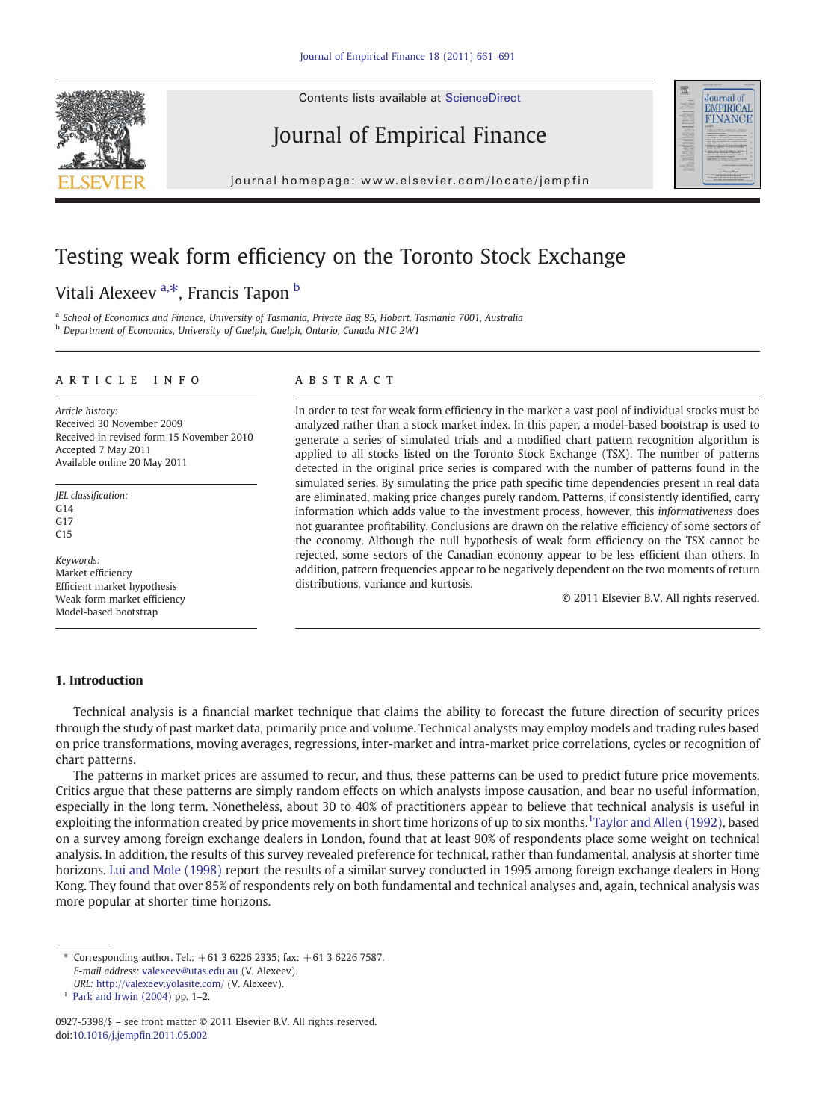Contents lists available at ScienceDirect







# EMPIRICAL **FINANCE**

Journal of

### Testing weak form efficiency on the Toronto Stock Exchange

### Vitali Alexeev<sup>a,\*</sup>, Francis Tapon<sup>b</sup>

<sup>a</sup> School of Economics and Finance, University of Tasmania, Private Bag 85, Hobart, Tasmania 7001, Australia <sup>b</sup> Department of Economics, University of Guelph, Guelph, Ontario, Canada N1G 2W1

#### article info abstract

Article history: Received 30 November 2009 Received in revised form 15 November 2010 Accepted 7 May 2011 Available online 20 May 2011

JEL classification:  $G14$ G17 C15

Keywords: Market efficiency Efficient market hypothesis Weak-form market efficiency Model-based bootstrap

In order to test for weak form efficiency in the market a vast pool of individual stocks must be analyzed rather than a stock market index. In this paper, a model-based bootstrap is used to generate a series of simulated trials and a modified chart pattern recognition algorithm is applied to all stocks listed on the Toronto Stock Exchange (TSX). The number of patterns detected in the original price series is compared with the number of patterns found in the simulated series. By simulating the price path specific time dependencies present in real data are eliminated, making price changes purely random. Patterns, if consistently identified, carry information which adds value to the investment process, however, this informativeness does not guarantee profitability. Conclusions are drawn on the relative efficiency of some sectors of the economy. Although the null hypothesis of weak form efficiency on the TSX cannot be rejected, some sectors of the Canadian economy appear to be less efficient than others. In addition, pattern frequencies appear to be negatively dependent on the two moments of return distributions, variance and kurtosis.

© 2011 Elsevier B.V. All rights reserved.

### 1. Introduction

Technical analysis is a financial market technique that claims the ability to forecast the future direction of security prices through the study of past market data, primarily price and volume. Technical analysts may employ models and trading rules based on price transformations, moving averages, regressions, inter-market and intra-market price correlations, cycles or recognition of chart patterns.

The patterns in market prices are assumed to recur, and thus, these patterns can be used to predict future price movements. Critics argue that these patterns are simply random effects on which analysts impose causation, and bear no useful information, especially in the long term. Nonetheless, about 30 to 40% of practitioners appear to believe that technical analysis is useful in exploiting the information created by price movements in short time horizons of up to six months.<sup>1</sup>[Taylor and Allen \(1992\),](#page--1-0) based on a survey among foreign exchange dealers in London, found that at least 90% of respondents place some weight on technical analysis. In addition, the results of this survey revealed preference for technical, rather than fundamental, analysis at shorter time horizons. [Lui and Mole \(1998\)](#page--1-0) report the results of a similar survey conducted in 1995 among foreign exchange dealers in Hong Kong. They found that over 85% of respondents rely on both fundamental and technical analyses and, again, technical analysis was more popular at shorter time horizons.

⁎ Corresponding author. Tel.: +61 3 6226 2335; fax: +61 3 6226 7587. E-mail address: [valexeev@utas.edu.au](mailto:valexeev@utas.edu.au) (V. Alexeev).

URL: <http://valexeev.yolasite.com/> (V. Alexeev).

 $1$  [Park and Irwin \(2004\)](#page--1-0) pp. 1-2.

<sup>0927-5398/\$</sup> – see front matter © 2011 Elsevier B.V. All rights reserved. doi[:10.1016/j.jemp](http://dx.doi.org/10.1016/j.jempfin.2011.05.002)fin.2011.05.002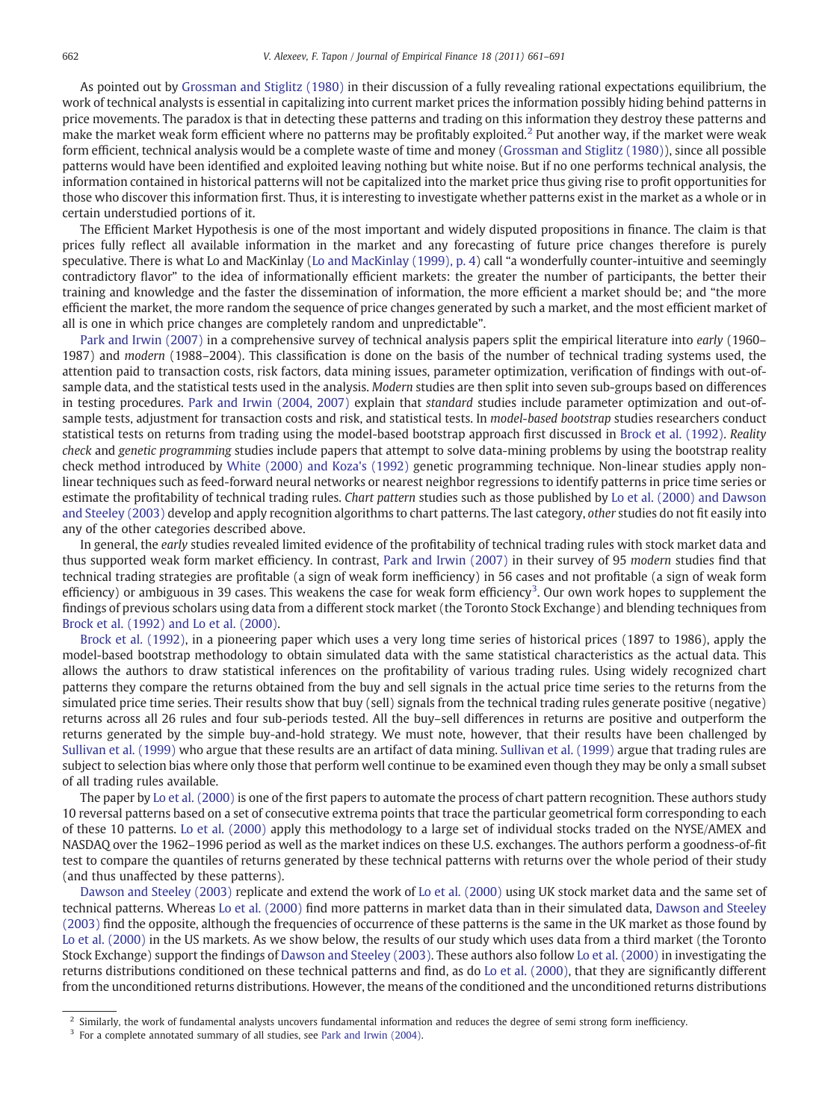As pointed out by [Grossman and Stiglitz \(1980\)](#page--1-0) in their discussion of a fully revealing rational expectations equilibrium, the work of technical analysts is essential in capitalizing into current market prices the information possibly hiding behind patterns in price movements. The paradox is that in detecting these patterns and trading on this information they destroy these patterns and make the market weak form efficient where no patterns may be profitably exploited.<sup>2</sup> Put another way, if the market were weak form efficient, technical analysis would be a complete waste of time and money ([Grossman and Stiglitz \(1980\)\)](#page--1-0), since all possible patterns would have been identified and exploited leaving nothing but white noise. But if no one performs technical analysis, the information contained in historical patterns will not be capitalized into the market price thus giving rise to profit opportunities for those who discover this information first. Thus, it is interesting to investigate whether patterns exist in the market as a whole or in certain understudied portions of it.

The Efficient Market Hypothesis is one of the most important and widely disputed propositions in finance. The claim is that prices fully reflect all available information in the market and any forecasting of future price changes therefore is purely speculative. There is what Lo and MacKinlay ([Lo and MacKinlay \(1999\), p. 4\)](#page--1-0) call "a wonderfully counter-intuitive and seemingly contradictory flavor" to the idea of informationally efficient markets: the greater the number of participants, the better their training and knowledge and the faster the dissemination of information, the more efficient a market should be; and "the more efficient the market, the more random the sequence of price changes generated by such a market, and the most efficient market of all is one in which price changes are completely random and unpredictable".

[Park and Irwin \(2007\)](#page--1-0) in a comprehensive survey of technical analysis papers split the empirical literature into early (1960– 1987) and modern (1988–2004). This classification is done on the basis of the number of technical trading systems used, the attention paid to transaction costs, risk factors, data mining issues, parameter optimization, verification of findings with out-ofsample data, and the statistical tests used in the analysis. Modern studies are then split into seven sub-groups based on differences in testing procedures. [Park and Irwin \(2004, 2007\)](#page--1-0) explain that standard studies include parameter optimization and out-ofsample tests, adjustment for transaction costs and risk, and statistical tests. In model-based bootstrap studies researchers conduct statistical tests on returns from trading using the model-based bootstrap approach first discussed in [Brock et al. \(1992\)](#page--1-0). Reality check and genetic programming studies include papers that attempt to solve data-mining problems by using the bootstrap reality check method introduced by [White \(2000\) and Koza's \(1992\)](#page--1-0) genetic programming technique. Non-linear studies apply nonlinear techniques such as feed-forward neural networks or nearest neighbor regressions to identify patterns in price time series or estimate the profitability of technical trading rules. Chart pattern studies such as those published by [Lo et al. \(2000\) and Dawson](#page--1-0) [and Steeley \(2003\)](#page--1-0) develop and apply recognition algorithms to chart patterns. The last category, other studies do not fit easily into any of the other categories described above.

In general, the early studies revealed limited evidence of the profitability of technical trading rules with stock market data and thus supported weak form market efficiency. In contrast, [Park and Irwin \(2007\)](#page--1-0) in their survey of 95 modern studies find that technical trading strategies are profitable (a sign of weak form inefficiency) in 56 cases and not profitable (a sign of weak form efficiency) or ambiguous in 39 cases. This weakens the case for weak form efficiency<sup>3</sup>. Our own work hopes to supplement the findings of previous scholars using data from a different stock market (the Toronto Stock Exchange) and blending techniques from [Brock et al. \(1992\) and Lo et al. \(2000\).](#page--1-0)

[Brock et al. \(1992\),](#page--1-0) in a pioneering paper which uses a very long time series of historical prices (1897 to 1986), apply the model-based bootstrap methodology to obtain simulated data with the same statistical characteristics as the actual data. This allows the authors to draw statistical inferences on the profitability of various trading rules. Using widely recognized chart patterns they compare the returns obtained from the buy and sell signals in the actual price time series to the returns from the simulated price time series. Their results show that buy (sell) signals from the technical trading rules generate positive (negative) returns across all 26 rules and four sub-periods tested. All the buy–sell differences in returns are positive and outperform the returns generated by the simple buy-and-hold strategy. We must note, however, that their results have been challenged by [Sullivan et al. \(1999\)](#page--1-0) who argue that these results are an artifact of data mining. [Sullivan et al. \(1999\)](#page--1-0) argue that trading rules are subject to selection bias where only those that perform well continue to be examined even though they may be only a small subset of all trading rules available.

The paper by [Lo et al. \(2000\)](#page--1-0) is one of the first papers to automate the process of chart pattern recognition. These authors study 10 reversal patterns based on a set of consecutive extrema points that trace the particular geometrical form corresponding to each of these 10 patterns. [Lo et al. \(2000\)](#page--1-0) apply this methodology to a large set of individual stocks traded on the NYSE/AMEX and NASDAQ over the 1962–1996 period as well as the market indices on these U.S. exchanges. The authors perform a goodness-of-fit test to compare the quantiles of returns generated by these technical patterns with returns over the whole period of their study (and thus unaffected by these patterns).

[Dawson and Steeley \(2003\)](#page--1-0) replicate and extend the work of [Lo et al. \(2000\)](#page--1-0) using UK stock market data and the same set of technical patterns. Whereas [Lo et al. \(2000\)](#page--1-0) find more patterns in market data than in their simulated data, [Dawson and Steeley](#page--1-0) [\(2003\)](#page--1-0) find the opposite, although the frequencies of occurrence of these patterns is the same in the UK market as those found by [Lo et al. \(2000\)](#page--1-0) in the US markets. As we show below, the results of our study which uses data from a third market (the Toronto Stock Exchange) support the findings of [Dawson and Steeley \(2003\).](#page--1-0) These authors also follow [Lo et al. \(2000\)](#page--1-0) in investigating the returns distributions conditioned on these technical patterns and find, as do [Lo et al. \(2000\)](#page--1-0), that they are significantly different from the unconditioned returns distributions. However, the means of the conditioned and the unconditioned returns distributions

 $<sup>2</sup>$  Similarly, the work of fundamental analysts uncovers fundamental information and reduces the degree of semi strong form inefficiency.</sup>

<sup>&</sup>lt;sup>3</sup> For a complete annotated summary of all studies, see [Park and Irwin \(2004\).](#page--1-0)